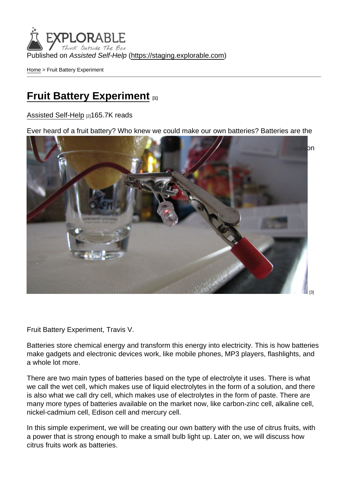[Home](https://staging.explorable.com/en) > Fruit Battery Experiment

#### [Fruit Battery Experiment](https://staging.explorable.com/en/fruit-battery-experiment) [1]

[Assisted Self-Help](https://staging.explorable.com/en) [2]165.7K reads

Ever heard of a fruit battery? Who knew we could make our own batteries? Batteries are the most common source of electricity especially for smaller gadgets and devices that need [electric power to work. It comes in different forms, in varying voltages; again depending upo](http://www.flickr.com/photos/trvance/4500359381/)n the power requirement of the gadget or device we will be using them for.

[3]

Fruit Battery Experiment, Travis V.

Batteries store chemical energy and transform this energy into electricity. This is how batteries make gadgets and electronic devices work, like mobile phones, MP3 players, flashlights, and a whole lot more.

There are two main types of batteries based on the type of electrolyte it uses. There is what we call the wet cell, which makes use of liquid electrolytes in the form of a solution, and there is also what we call dry cell, which makes use of electrolytes in the form of paste. There are many more types of batteries available on the market now, like carbon-zinc cell, alkaline cell, nickel-cadmium cell, Edison cell and mercury cell.

In this simple experiment, we will be creating our own battery with the use of citrus fruits, with a power that is strong enough to make a small bulb light up. Later on, we will discuss how citrus fruits work as batteries.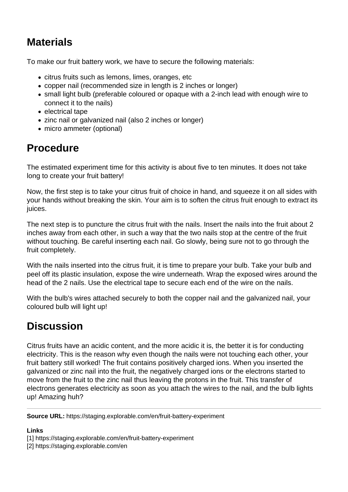# **Materials**

To make our fruit battery work, we have to secure the following materials:

- citrus fruits such as lemons, limes, oranges, etc
- copper nail (recommended size in length is 2 inches or longer)
- small light bulb (preferable coloured or opaque with a 2-inch lead with enough wire to connect it to the nails)
- electrical tape
- zinc nail or galvanized nail (also 2 inches or longer)
- micro ammeter (optional)

## **Procedure**

The estimated experiment time for this activity is about five to ten minutes. It does not take long to create your fruit battery!

Now, the first step is to take your citrus fruit of choice in hand, and squeeze it on all sides with your hands without breaking the skin. Your aim is to soften the citrus fruit enough to extract its juices.

The next step is to puncture the citrus fruit with the nails. Insert the nails into the fruit about 2 inches away from each other, in such a way that the two nails stop at the centre of the fruit without touching. Be careful inserting each nail. Go slowly, being sure not to go through the fruit completely.

With the nails inserted into the citrus fruit, it is time to prepare your bulb. Take your bulb and peel off its plastic insulation, expose the wire underneath. Wrap the exposed wires around the head of the 2 nails. Use the electrical tape to secure each end of the wire on the nails.

With the bulb's wires attached securely to both the copper nail and the galvanized nail, your coloured bulb will light up!

## **Discussion**

Citrus fruits have an acidic content, and the more acidic it is, the better it is for conducting electricity. This is the reason why even though the nails were not touching each other, your fruit battery still worked! The fruit contains positively charged ions. When you inserted the galvanized or zinc nail into the fruit, the negatively charged ions or the electrons started to move from the fruit to the zinc nail thus leaving the protons in the fruit. This transfer of electrons generates electricity as soon as you attach the wires to the nail, and the bulb lights up! Amazing huh?

**Source URL:** https://staging.explorable.com/en/fruit-battery-experiment

#### **Links**

[1] https://staging.explorable.com/en/fruit-battery-experiment

[2] https://staging.explorable.com/en